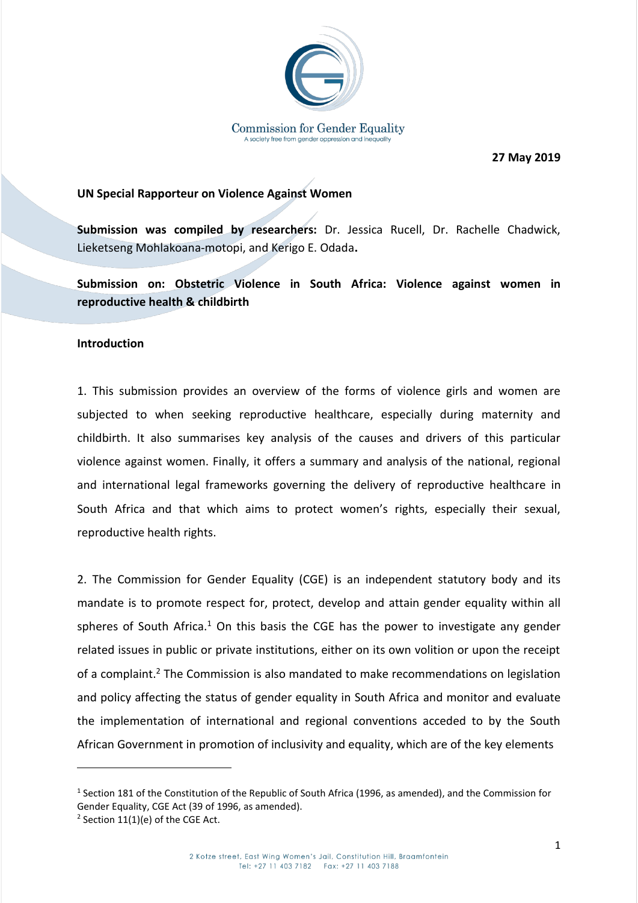

 **27 May 2019**

## **UN Special Rapporteur on Violence Against Women**

**Submission was compiled by researchers:** Dr. Jessica Rucell, Dr. Rachelle Chadwick, Lieketseng Mohlakoana-motopi, and Kerigo E. Odada**.**

**Submission on: Obstetric Violence in South Africa: Violence against women in reproductive health & childbirth** 

## **Introduction**

1. This submission provides an overview of the forms of violence girls and women are subjected to when seeking reproductive healthcare, especially during maternity and childbirth. It also summarises key analysis of the causes and drivers of this particular violence against women. Finally, it offers a summary and analysis of the national, regional and international legal frameworks governing the delivery of reproductive healthcare in South Africa and that which aims to protect women's rights, especially their sexual, reproductive health rights.

2. The Commission for Gender Equality (CGE) is an independent statutory body and its mandate is to promote respect for, protect, develop and attain gender equality within all spheres of South Africa.<sup>1</sup> On this basis the CGE has the power to investigate any gender related issues in public or private institutions, either on its own volition or upon the receipt of a complaint.<sup>2</sup> The Commission is also mandated to make recommendations on legislation and policy affecting the status of gender equality in South Africa and monitor and evaluate the implementation of international and regional conventions acceded to by the South African Government in promotion of inclusivity and equality, which are of the key elements

<sup>&</sup>lt;sup>1</sup> Section 181 of the Constitution of the Republic of South Africa (1996, as amended), and the Commission for Gender Equality, CGE Act (39 of 1996, as amended).

 $2$  Section 11(1)(e) of the CGE Act.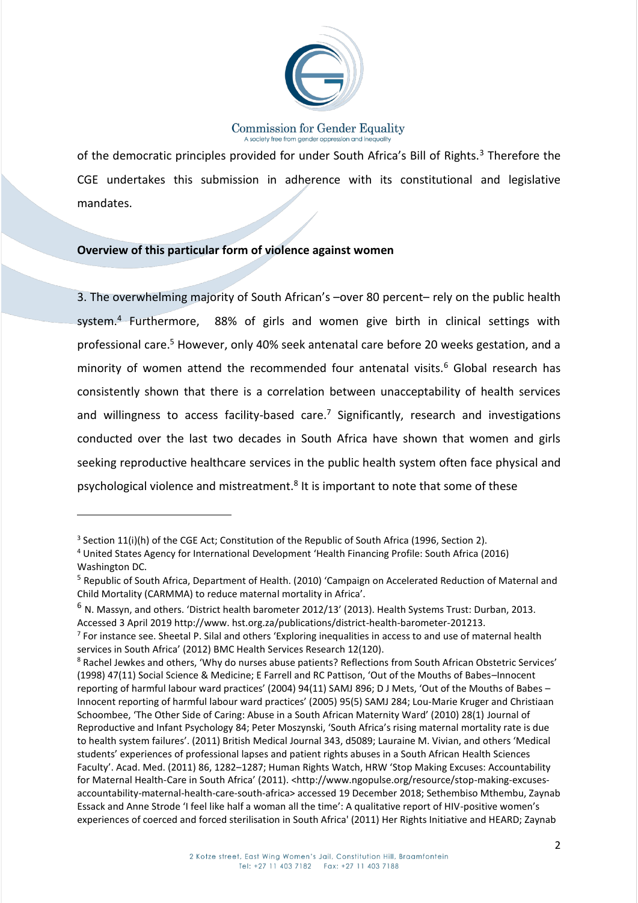

of the democratic principles provided for under South Africa's Bill of Rights.<sup>3</sup> Therefore the CGE undertakes this submission in adherence with its constitutional and legislative mandates.

## **Overview of this particular form of violence against women**

3. The overwhelming majority of South African's –over 80 percent– rely on the public health system.<sup>4</sup> Furthermore, 88% of girls and women give birth in clinical settings with professional care.<sup>5</sup> However, only 40% seek antenatal care before 20 weeks gestation, and a minority of women attend the recommended four antenatal visits. $6$  Global research has consistently shown that there is a correlation between unacceptability of health services and willingness to access facility-based care.<sup>7</sup> Significantly, research and investigations conducted over the last two decades in South Africa have shown that women and girls seeking reproductive healthcare services in the public health system often face physical and psychological violence and mistreatment.<sup>8</sup> It is important to note that some of these

1

 $3$  Section 11(i)(h) of the CGE Act; Constitution of the Republic of South Africa (1996, Section 2).

<sup>4</sup> United States Agency for International Development 'Health Financing Profile: South Africa (2016) Washington DC.

<sup>5</sup> Republic of South Africa, Department of Health. (2010) 'Campaign on Accelerated Reduction of Maternal and Child Mortality (CARMMA) to reduce maternal mortality in Africa'.

 $6$  N. Massyn, and others. 'District health barometer 2012/13' (2013). Health Systems Trust: Durban, 2013. Accessed 3 April 2019 http://www. hst.org.za/publications/district-health-barometer-201213.

<sup>&</sup>lt;sup>7</sup> For instance see. Sheetal P. Silal and others 'Exploring inequalities in access to and use of maternal health services in South Africa' (2012) BMC Health Services Research 12(120).

<sup>8</sup> Rachel Jewkes and others, 'Why do nurses abuse patients? Reflections from South African Obstetric Services' (1998) 47(11) Social Science & Medicine; E Farrell and RC Pattison, 'Out of the Mouths of Babes–Innocent reporting of harmful labour ward practices' (2004) 94(11) SAMJ 896; D J Mets, 'Out of the Mouths of Babes – Innocent reporting of harmful labour ward practices' (2005) 95(5) SAMJ 284; Lou-Marie Kruger and Christiaan Schoombee, 'The Other Side of Caring: Abuse in a South African Maternity Ward' (2010) 28(1) Journal of Reproductive and Infant Psychology 84; Peter Moszynski, 'South Africa's rising maternal mortality rate is due to health system failures'. (2011) British Medical Journal 343, d5089; Lauraine M. Vivian, and others 'Medical students' experiences of professional lapses and patient rights abuses in a South African Health Sciences Faculty'. Acad. Med. (2011) 86, 1282–1287; Human Rights Watch, HRW 'Stop Making Excuses: Accountability for Maternal Health-Care in South Africa' (2011). <http://www.ngopulse.org/resource/stop-making-excusesaccountability-maternal-health-care-south-africa> accessed 19 December 2018; Sethembiso Mthembu, Zaynab Essack and Anne Strode 'I feel like half a woman all the time': A qualitative report of HIV-positive women's experiences of coerced and forced sterilisation in South Africa' (2011) Her Rights Initiative and HEARD; Zaynab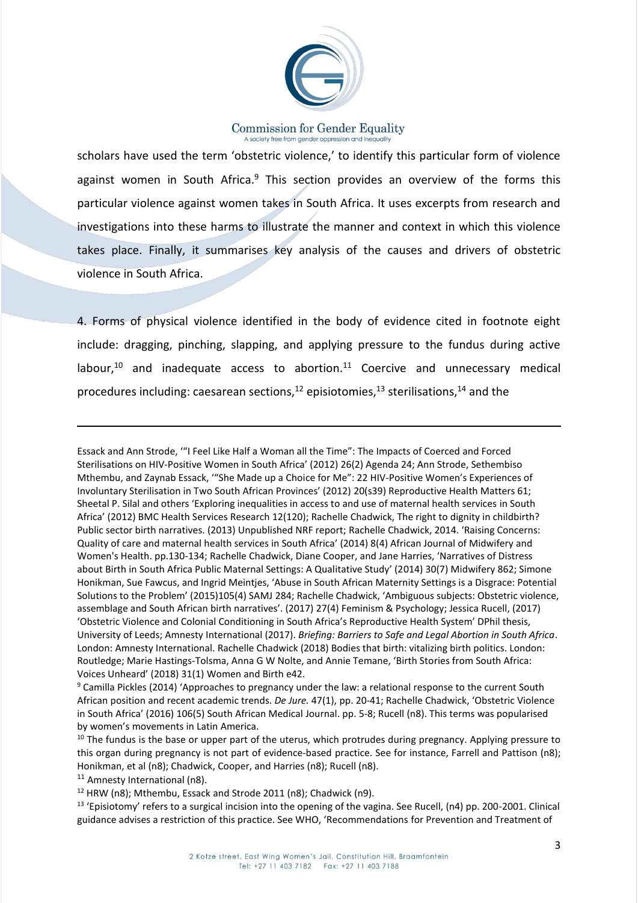

scholars have used the term 'obstetric violence,' to identify this particular form of violence against women in South Africa. $9$  This section provides an overview of the forms this particular violence against women takes in South Africa. It uses excerpts from research and investigations into these harms to illustrate the manner and context in which this violence takes place. Finally, it summarises key analysis of the causes and drivers of obstetric violence in South Africa.

4. Forms of physical violence identified in the body of evidence cited in footnote eight include: dragging, pinching, slapping, and applying pressure to the fundus during active labour, $10$  and inadequate access to abortion. $11$  Coercive and unnecessary medical procedures including: caesarean sections,  $12$  episiotomies,  $13$  sterilisations,  $14$  and the

Essack and Ann Strode, '"I Feel Like Half a Woman all the Time": The Impacts of Coerced and Forced Sterilisations on HIV-Positive Women in South Africa' (2012) 26(2) Agenda 24; Ann Strode, Sethembiso Mthembu, and Zaynab Essack, '"She Made up a Choice for Me": 22 HIV-Positive Women's Experiences of Involuntary Sterilisation in Two South African Provinces' (2012) 20(s39) Reproductive Health Matters 61; Sheetal P. Silal and others 'Exploring inequalities in access to and use of maternal health services in South Africa' (2012) BMC Health Services Research 12(120); Rachelle Chadwick, The right to dignity in childbirth? Public sector birth narratives. (2013) Unpublished NRF report; Rachelle Chadwick, 2014. 'Raising Concerns: Quality of care and maternal health services in South Africa' (2014) 8(4) African Journal of Midwifery and Women's Health. pp.130-134; Rachelle Chadwick, Diane Cooper, and Jane Harries, 'Narratives of Distress about Birth in South Africa Public Maternal Settings: A Qualitative Study' (2014) 30(7) Midwifery 862; Simone Honikman, Sue Fawcus, and Ingrid Meintjes, 'Abuse in South African Maternity Settings is a Disgrace: Potential Solutions to the Problem' (2015)105(4) SAMJ 284; Rachelle Chadwick, 'Ambiguous subjects: Obstetric violence, assemblage and South African birth narratives'. (2017) 27(4) Feminism & Psychology; Jessica Rucell, (2017) 'Obstetric Violence and Colonial Conditioning in South Africa's Reproductive Health System' DPhil thesis, University of Leeds; Amnesty International (2017). *Briefing: Barriers to Safe and Legal Abortion in South Africa*. London: Amnesty International. Rachelle Chadwick (2018) Bodies that birth: vitalizing birth politics. London: Routledge; Marie Hastings-Tolsma, Anna G W Nolte, and Annie Temane, 'Birth Stories from South Africa: Voices Unheard' (2018) 31(1) Women and Birth e42.

<sup>9</sup> Camilla Pickles (2014) 'Approaches to pregnancy under the law: a relational response to the current South African position and recent academic trends. *De Jure.* 47(1), pp. 20-41; Rachelle Chadwick, 'Obstetric Violence in South Africa' (2016) 106(5) South African Medical Journal. pp. 5-8; Rucell (n8). This terms was popularised by women's movements in Latin America.

<sup>10</sup> The fundus is the base or upper part of the uterus, which protrudes during pregnancy. Applying pressure to this organ during pregnancy is not part of evidence-based practice. See for instance, Farrell and Pattison (n8); Honikman, et al (n8); Chadwick, Cooper, and Harries (n8); Rucell (n8).

 $11$  Amnesty International (n8).

**.** 

<sup>12</sup> HRW (n8); Mthembu, Essack and Strode 2011 (n8); Chadwick (n9).

 $13$  'Episiotomy' refers to a surgical incision into the opening of the vagina. See Rucell, (n4) pp. 200-2001. Clinical guidance advises a restriction of this practice. See WHO, 'Recommendations for Prevention and Treatment of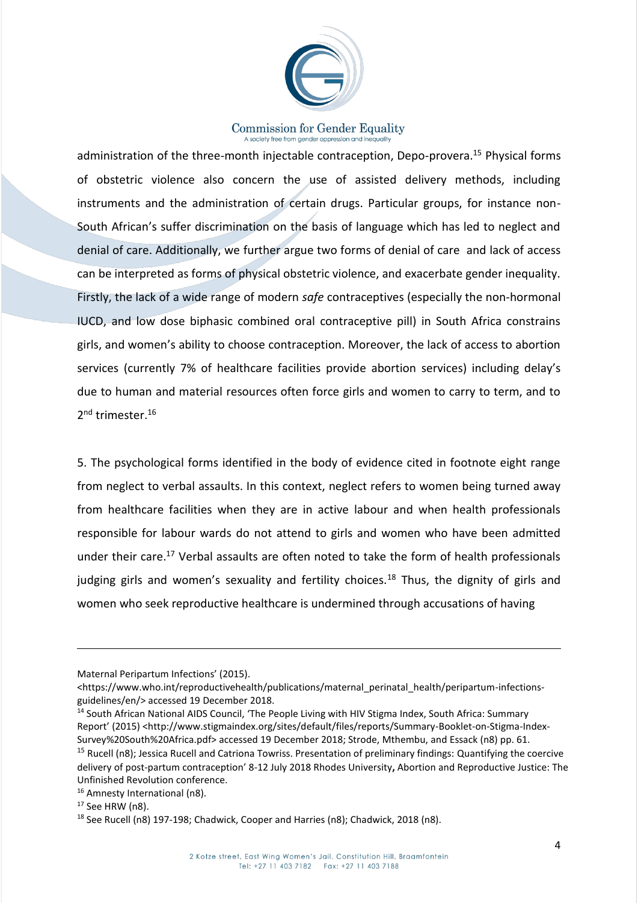

administration of the three-month injectable contraception, Depo-provera.<sup>15</sup> Physical forms of obstetric violence also concern the use of assisted delivery methods, including instruments and the administration of certain drugs. Particular groups, for instance non-South African's suffer discrimination on the basis of language which has led to neglect and denial of care. Additionally, we further argue two forms of denial of care and lack of access can be interpreted as forms of physical obstetric violence, and exacerbate gender inequality. Firstly, the lack of a wide range of modern *safe* contraceptives (especially the non-hormonal IUCD, and low dose biphasic combined oral contraceptive pill) in South Africa constrains girls, and women's ability to choose contraception. Moreover, the lack of access to abortion services (currently 7% of healthcare facilities provide abortion services) including delay's due to human and material resources often force girls and women to carry to term, and to 2<sup>nd</sup> trimester.<sup>16</sup>

5. The psychological forms identified in the body of evidence cited in footnote eight range from neglect to verbal assaults. In this context, neglect refers to women being turned away from healthcare facilities when they are in active labour and when health professionals responsible for labour wards do not attend to girls and women who have been admitted under their care.<sup>17</sup> Verbal assaults are often noted to take the form of health professionals judging girls and women's sexuality and fertility choices.<sup>18</sup> Thus, the dignity of girls and women who seek reproductive healthcare is undermined through accusations of having

 $\overline{a}$ 

Maternal Peripartum Infections' (2015).

<sup>&</sup>lt;https://www.who.int/reproductivehealth/publications/maternal\_perinatal\_health/peripartum-infectionsguidelines/en/> accessed 19 December 2018.

<sup>&</sup>lt;sup>14</sup> South African National AIDS Council, 'The People Living with HIV Stigma Index, South Africa: Summary Report' (2015) <http://www.stigmaindex.org/sites/default/files/reports/Summary-Booklet-on-Stigma-Index-Survey%20South%20Africa.pdf> accessed 19 December 2018; Strode, Mthembu, and Essack (n8) pp. 61.

<sup>&</sup>lt;sup>15</sup> Rucell (n8); Jessica Rucell and Catriona Towriss. Presentation of preliminary findings: Quantifying the coercive delivery of post-partum contraception' 8-12 July 2018 Rhodes University**,** Abortion and Reproductive Justice: The Unfinished Revolution conference.

<sup>16</sup> Amnesty International (n8).

<sup>17</sup> See HRW (n8).

<sup>&</sup>lt;sup>18</sup> See Rucell (n8) 197-198; Chadwick, Cooper and Harries (n8); Chadwick, 2018 (n8).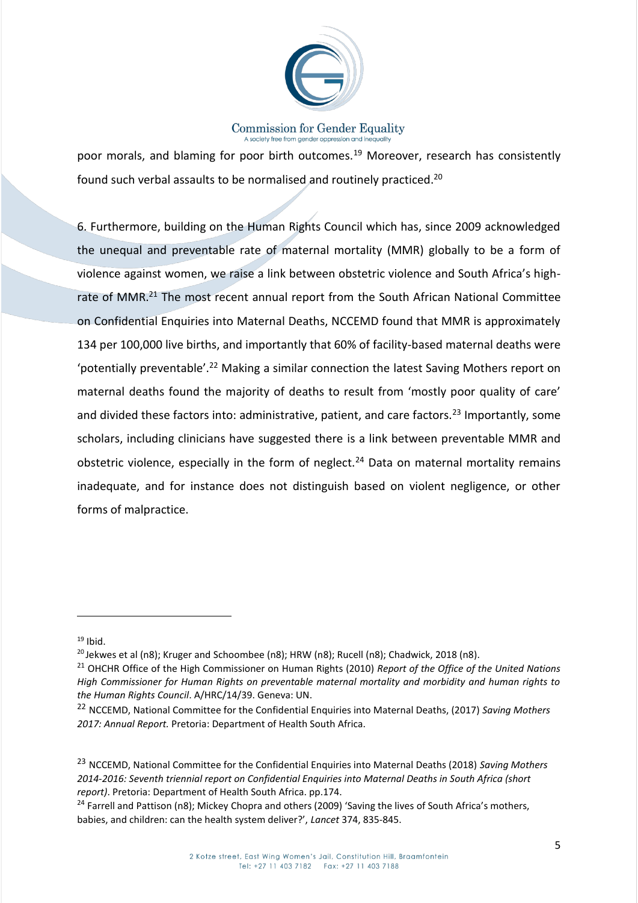

poor morals, and blaming for poor birth outcomes.<sup>19</sup> Moreover, research has consistently found such verbal assaults to be normalised and routinely practiced.<sup>20</sup>

6. Furthermore, building on the Human Rights Council which has, since 2009 acknowledged the unequal and preventable rate of maternal mortality (MMR) globally to be a form of violence against women, we raise a link between obstetric violence and South Africa's highrate of MMR.<sup>21</sup> The most recent annual report from the South African National Committee on Confidential Enquiries into Maternal Deaths, NCCEMD found that MMR is approximately 134 per 100,000 live births, and importantly that 60% of facility-based maternal deaths were 'potentially preventable'.<sup>22</sup> Making a similar connection the latest Saving Mothers report on maternal deaths found the majority of deaths to result from 'mostly poor quality of care' and divided these factors into: administrative, patient, and care factors.<sup>23</sup> Importantly, some scholars, including clinicians have suggested there is a link between preventable MMR and obstetric violence, especially in the form of neglect.<sup>24</sup> Data on maternal mortality remains inadequate, and for instance does not distinguish based on violent negligence, or other forms of malpractice.

1

 $19$  Ibid.

 $20$  Jekwes et al (n8); Kruger and Schoombee (n8); HRW (n8); Rucell (n8); Chadwick, 2018 (n8).

<sup>21</sup> OHCHR Office of the High Commissioner on Human Rights (2010) *Report of the Office of the United Nations High Commissioner for Human Rights on preventable maternal mortality and morbidity and human rights to the Human Rights Council*. A/HRC/14/39. Geneva: UN.

<sup>22</sup> NCCEMD, National Committee for the Confidential Enquiries into Maternal Deaths, (2017) *Saving Mothers 2017: Annual Report.* Pretoria: Department of Health South Africa.

<sup>23</sup> NCCEMD, National Committee for the Confidential Enquiries into Maternal Deaths (2018) *Saving Mothers 2014-2016: Seventh triennial report on Confidential Enquiries into Maternal Deaths in South Africa (short report)*. Pretoria: Department of Health South Africa. pp.174.

 $24$  Farrell and Pattison (n8); Mickey Chopra and others (2009) 'Saving the lives of South Africa's mothers, babies, and children: can the health system deliver?', *Lancet* 374, 835-845.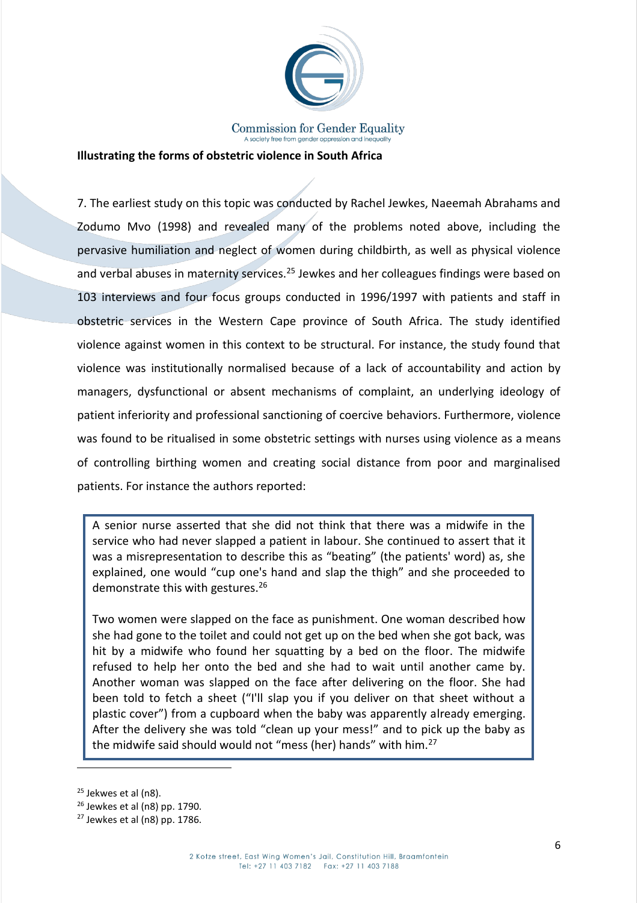

### **Illustrating the forms of obstetric violence in South Africa**

7. The earliest study on this topic was conducted by Rachel Jewkes, Naeemah Abrahams and Zodumo Mvo (1998) and revealed many of the problems noted above, including the pervasive humiliation and neglect of women during childbirth, as well as physical violence and verbal abuses in maternity services.<sup>25</sup> Jewkes and her colleagues findings were based on 103 interviews and four focus groups conducted in 1996/1997 with patients and staff in obstetric services in the Western Cape province of South Africa. The study identified violence against women in this context to be structural. For instance, the study found that violence was institutionally normalised because of a lack of accountability and action by managers, dysfunctional or absent mechanisms of complaint, an underlying ideology of patient inferiority and professional sanctioning of coercive behaviors. Furthermore, violence was found to be ritualised in some obstetric settings with nurses using violence as a means of controlling birthing women and creating social distance from poor and marginalised patients. For instance the authors reported:

A senior nurse asserted that she did not think that there was a midwife in the service who had never slapped a patient in labour. She continued to assert that it was a misrepresentation to describe this as "beating" (the patients' word) as, she explained, one would "cup one's hand and slap the thigh" and she proceeded to demonstrate this with gestures.<sup>26</sup>

Two women were slapped on the face as punishment. One woman described how she had gone to the toilet and could not get up on the bed when she got back, was hit by a midwife who found her squatting by a bed on the floor. The midwife refused to help her onto the bed and she had to wait until another came by. Another woman was slapped on the face after delivering on the floor. She had been told to fetch a sheet ("I'll slap you if you deliver on that sheet without a plastic cover") from a cupboard when the baby was apparently already emerging. After the delivery she was told "clean up your mess!" and to pick up the baby as the midwife said should would not "mess (her) hands" with him.<sup>27</sup>

<sup>25</sup> Jekwes et al (n8).

 $26$  Jewkes et al (n8) pp. 1790.

 $27$  Jewkes et al (n8) pp. 1786.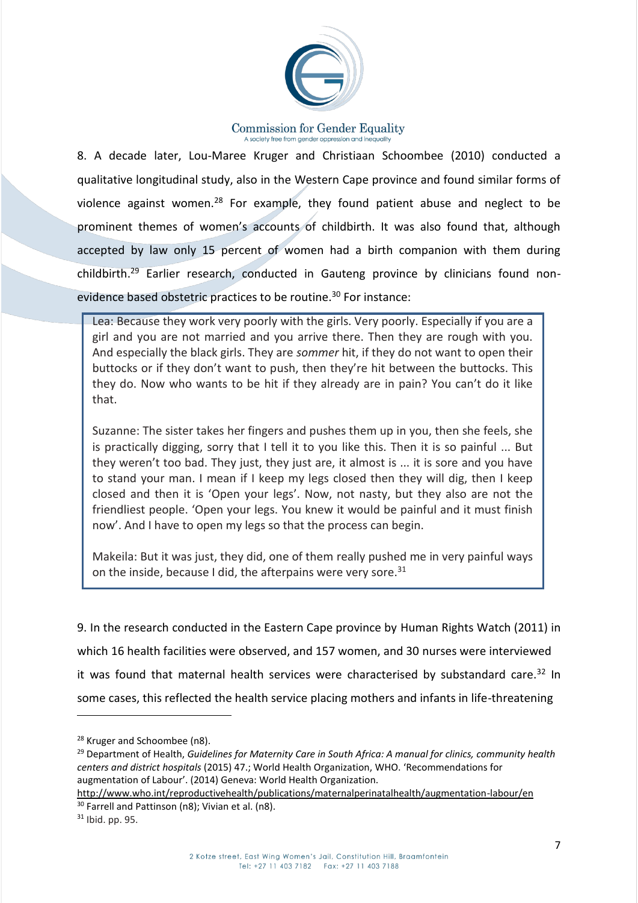

8. A decade later, Lou-Maree Kruger and Christiaan Schoombee (2010) conducted a qualitative longitudinal study, also in the Western Cape province and found similar forms of violence against women.<sup>28</sup> For example, they found patient abuse and neglect to be prominent themes of women's accounts of childbirth. It was also found that, although accepted by law only 15 percent of women had a birth companion with them during childbirth.<sup>29</sup> Earlier research, conducted in Gauteng province by clinicians found nonevidence based obstetric practices to be routine.<sup>30</sup> For instance:

Lea: Because they work very poorly with the girls. Very poorly. Especially if you are a girl and you are not married and you arrive there. Then they are rough with you. And especially the black girls. They are *sommer* hit, if they do not want to open their buttocks or if they don't want to push, then they're hit between the buttocks. This they do. Now who wants to be hit if they already are in pain? You can't do it like that.

Suzanne: The sister takes her fingers and pushes them up in you, then she feels, she is practically digging, sorry that I tell it to you like this. Then it is so painful ... But they weren't too bad. They just, they just are, it almost is ... it is sore and you have to stand your man. I mean if I keep my legs closed then they will dig, then I keep closed and then it is 'Open your legs'. Now, not nasty, but they also are not the friendliest people. 'Open your legs. You knew it would be painful and it must finish now'. And I have to open my legs so that the process can begin.

Makeila: But it was just, they did, one of them really pushed me in very painful ways on the inside, because I did, the afterpains were very sore. $31$ 

9. In the research conducted in the Eastern Cape province by Human Rights Watch (2011) in which 16 health facilities were observed, and 157 women, and 30 nurses were interviewed it was found that maternal health services were characterised by substandard care.<sup>32</sup> In some cases, this reflected the health service placing mothers and infants in life-threatening

<sup>&</sup>lt;sup>28</sup> Kruger and Schoombee (n8).

<sup>29</sup> Department of Health, *Guidelines for Maternity Care in South Africa: A manual for clinics, community health centers and district hospitals* (2015) 47.; World Health Organization, WHO. 'Recommendations for augmentation of Labour'. (2014) Geneva: World Health Organization.

<http://www.who.int/reproductivehealth/publications/maternalperinatalhealth/augmentation-labour/en> <sup>30</sup> Farrell and Pattinson (n8); Vivian et al. (n8).

 $31$  Ibid. pp. 95.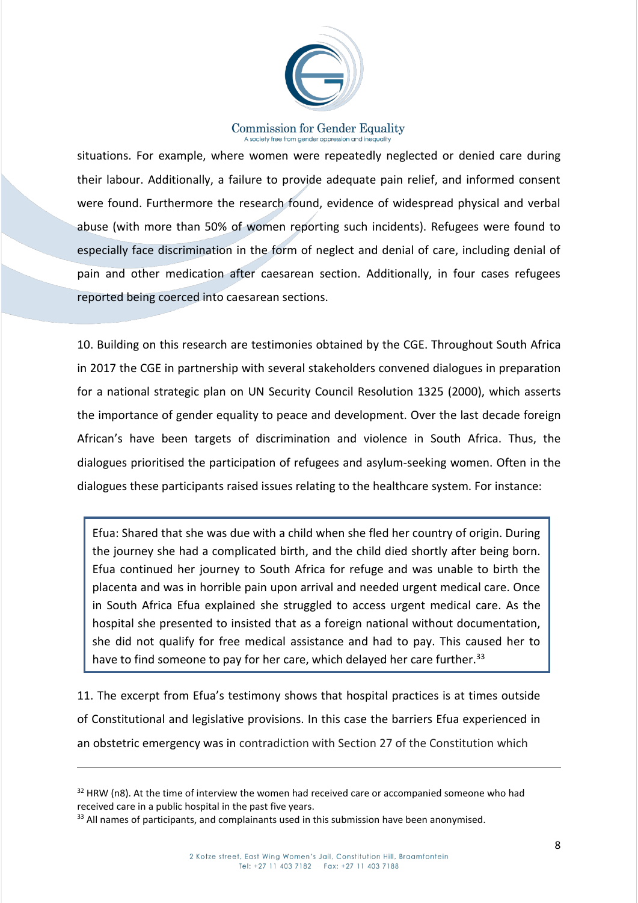

situations. For example, where women were repeatedly neglected or denied care during their labour. Additionally, a failure to provide adequate pain relief, and informed consent were found. Furthermore the research found, evidence of widespread physical and verbal abuse (with more than 50% of women reporting such incidents). Refugees were found to especially face discrimination in the form of neglect and denial of care, including denial of pain and other medication after caesarean section. Additionally, in four cases refugees reported being coerced into caesarean sections.

10. Building on this research are testimonies obtained by the CGE. Throughout South Africa in 2017 the CGE in partnership with several stakeholders convened dialogues in preparation for a national strategic plan on UN Security Council Resolution 1325 (2000), which asserts the importance of gender equality to peace and development. Over the last decade foreign African's have been targets of discrimination and violence in South Africa. Thus, the dialogues prioritised the participation of refugees and asylum-seeking women. Often in the dialogues these participants raised issues relating to the healthcare system. For instance:

Efua: Shared that she was due with a child when she fled her country of origin. During the journey she had a complicated birth, and the child died shortly after being born. Efua continued her journey to South Africa for refuge and was unable to birth the placenta and was in horrible pain upon arrival and needed urgent medical care. Once in South Africa Efua explained she struggled to access urgent medical care. As the hospital she presented to insisted that as a foreign national without documentation, she did not qualify for free medical assistance and had to pay. This caused her to have to find someone to pay for her care, which delayed her care further.<sup>33</sup>

11. The excerpt from Efua's testimony shows that hospital practices is at times outside of Constitutional and legislative provisions. In this case the barriers Efua experienced in an obstetric emergency was in contradiction with Section 27 of the Constitution which

 $32$  HRW (n8). At the time of interview the women had received care or accompanied someone who had received care in a public hospital in the past five years.

<sup>33</sup> All names of participants, and complainants used in this submission have been anonymised.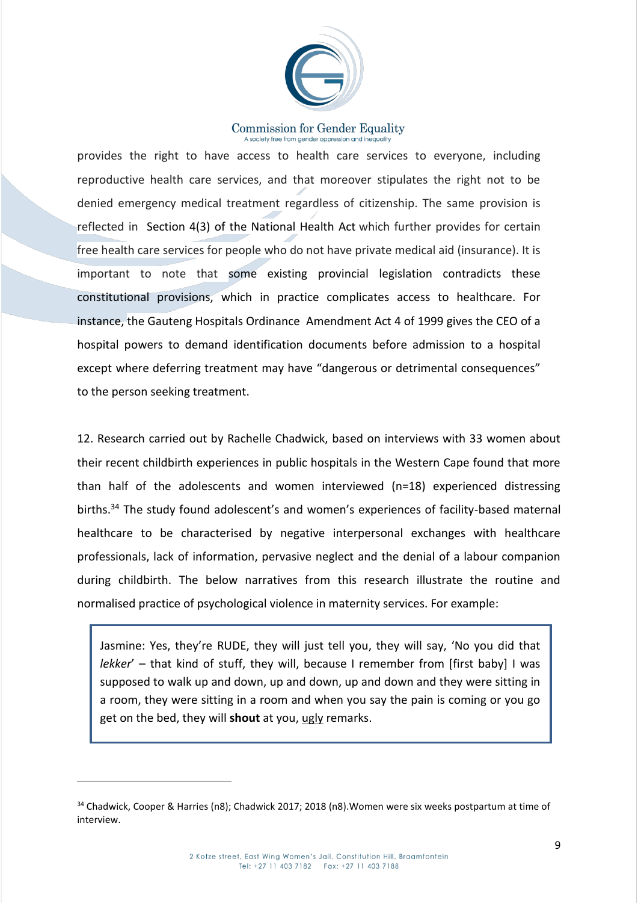

provides the right to have access to health care services to everyone, including reproductive health care services, and that moreover stipulates the right not to be denied emergency medical treatment regardless of citizenship. The same provision is reflected in Section 4(3) of the National Health Act which further provides for certain free health care services for people who do not have private medical aid (insurance). It is important to note that some existing provincial legislation contradicts these constitutional provisions, which in practice complicates access to healthcare. For instance, the Gauteng Hospitals Ordinance Amendment Act 4 of 1999 gives the CEO of a hospital powers to demand identification documents before admission to a hospital except where deferring treatment may have "dangerous or detrimental consequences" to the person seeking treatment.

12. Research carried out by Rachelle Chadwick, based on interviews with 33 women about their recent childbirth experiences in public hospitals in the Western Cape found that more than half of the adolescents and women interviewed (n=18) experienced distressing births.<sup>34</sup> The study found adolescent's and women's experiences of facility-based maternal healthcare to be characterised by negative interpersonal exchanges with healthcare professionals, lack of information, pervasive neglect and the denial of a labour companion during childbirth. The below narratives from this research illustrate the routine and normalised practice of psychological violence in maternity services. For example:

Jasmine: Yes, they're RUDE, they will just tell you, they will say, 'No you did that *lekker*' – that kind of stuff, they will, because I remember from [first baby] I was supposed to walk up and down, up and down, up and down and they were sitting in a room, they were sitting in a room and when you say the pain is coming or you go get on the bed, they will **shout** at you, ugly remarks.

1

<sup>34</sup> Chadwick, Cooper & Harries (n8); Chadwick 2017; 2018 (n8).Women were six weeks postpartum at time of interview.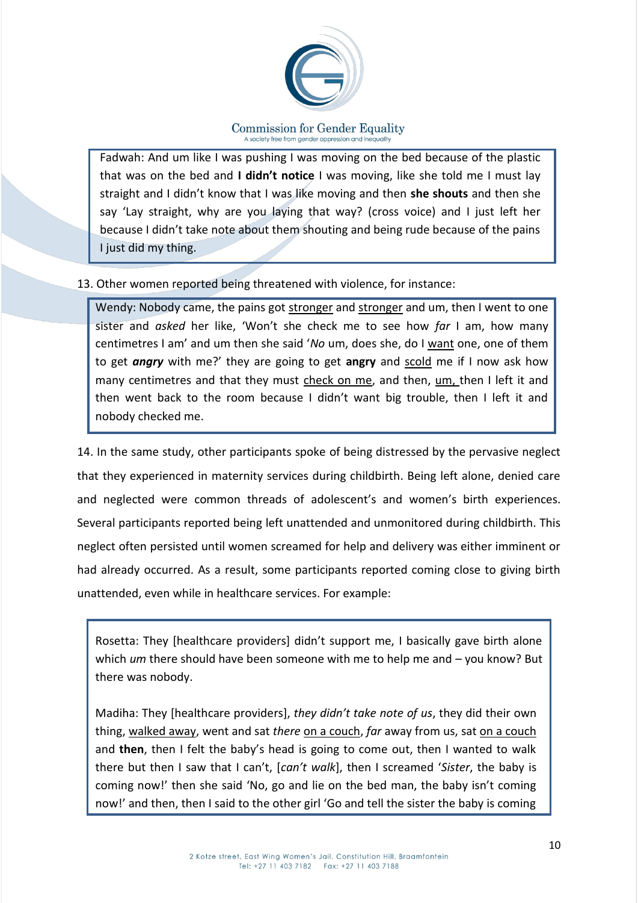

Fadwah: And um like I was pushing I was moving on the bed because of the plastic that was on the bed and **I didn't notice** I was moving, like she told me I must lay straight and I didn't know that I was like moving and then **she shouts** and then she say 'Lay straight, why are you laying that way? (cross voice) and I just left her because I didn't take note about them shouting and being rude because of the pains I just did my thing.

## 13. Other women reported being threatened with violence, for instance:

Wendy: Nobody came, the pains got stronger and stronger and um, then I went to one sister and *asked* her like, 'Won't she check me to see how *far* I am, how many centimetres I am' and um then she said '*No* um, does she, do I want one, one of them to get *angry* with me?' they are going to get **angry** and scold me if I now ask how many centimetres and that they must check on me, and then, um, then I left it and then went back to the room because I didn't want big trouble, then I left it and nobody checked me.

14. In the same study, other participants spoke of being distressed by the pervasive neglect that they experienced in maternity services during childbirth. Being left alone, denied care and neglected were common threads of adolescent's and women's birth experiences. Several participants reported being left unattended and unmonitored during childbirth. This neglect often persisted until women screamed for help and delivery was either imminent or had already occurred. As a result, some participants reported coming close to giving birth unattended, even while in healthcare services. For example:

Rosetta: They [healthcare providers] didn't support me, I basically gave birth alone which *um* there should have been someone with me to help me and – you know? But there was nobody.

Madiha: They [healthcare providers], *they didn't take note of us*, they did their own thing, walked away, went and sat *there* on a couch, *far* away from us, sat on a couch and **then**, then I felt the baby's head is going to come out, then I wanted to walk there but then I saw that I can't, [*can't walk*], then I screamed '*Sister*, the baby is coming now!' then she said 'No, go and lie on the bed man, the baby isn't coming now!' and then, then I said to the other girl 'Go and tell the sister the baby is coming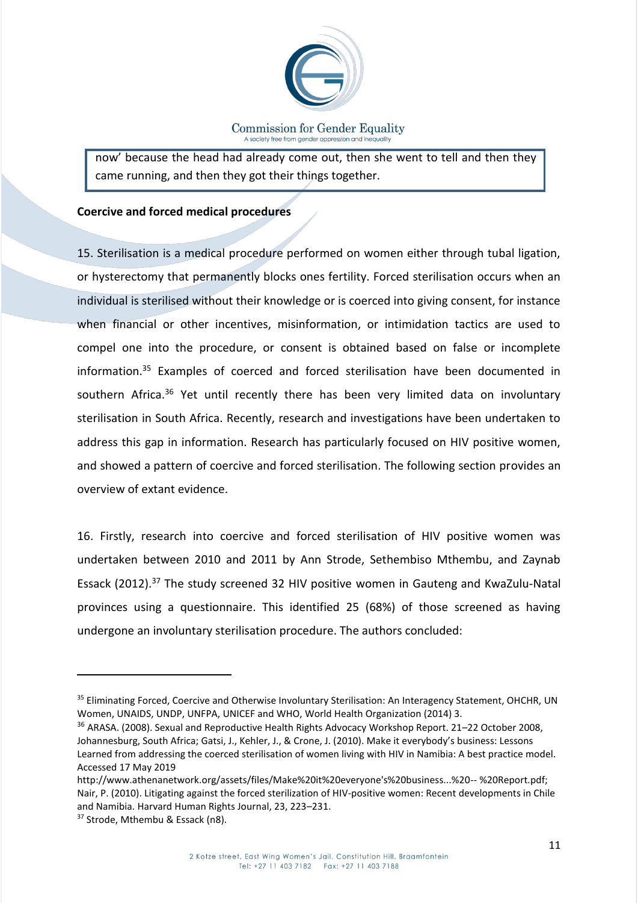

now' because the head had already come out, then she went to tell and then they came running, and then they got their things together.

## **Coercive and forced medical procedures**

15. Sterilisation is a medical procedure performed on women either through tubal ligation, or hysterectomy that permanently blocks ones fertility. Forced sterilisation occurs when an individual is sterilised without their knowledge or is coerced into giving consent, for instance when financial or other incentives, misinformation, or intimidation tactics are used to compel one into the procedure, or consent is obtained based on false or incomplete information.<sup>35</sup> Examples of coerced and forced sterilisation have been documented in southern Africa.<sup>36</sup> Yet until recently there has been very limited data on involuntary sterilisation in South Africa. Recently, research and investigations have been undertaken to address this gap in information. Research has particularly focused on HIV positive women, and showed a pattern of coercive and forced sterilisation. The following section provides an overview of extant evidence.

16. Firstly, research into coercive and forced sterilisation of HIV positive women was undertaken between 2010 and 2011 by Ann Strode, Sethembiso Mthembu, and Zaynab Essack (2012).<sup>37</sup> The study screened 32 HIV positive women in Gauteng and KwaZulu-Natal provinces using a questionnaire. This identified 25 (68%) of those screened as having undergone an involuntary sterilisation procedure. The authors concluded:

 $\overline{\phantom{a}}$ 

<sup>&</sup>lt;sup>35</sup> Eliminating Forced, Coercive and Otherwise Involuntary Sterilisation: An Interagency Statement, OHCHR, UN Women, UNAIDS, UNDP, UNFPA, UNICEF and WHO, World Health Organization (2014) 3.

<sup>36</sup> ARASA. (2008). Sexual and Reproductive Health Rights Advocacy Workshop Report. 21–22 October 2008, Johannesburg, South Africa; Gatsi, J., Kehler, J., & Crone, J. (2010). Make it everybody's business: Lessons Learned from addressing the coerced sterilisation of women living with HIV in Namibia: A best practice model. Accessed 17 May 2019

http://www.athenanetwork.org/assets/files/Make%20it%20everyone's%20business...%20-- %20Report.pdf; Nair, P. (2010). Litigating against the forced sterilization of HIV-positive women: Recent developments in Chile and Namibia. Harvard Human Rights Journal, 23, 223–231.

<sup>&</sup>lt;sup>37</sup> Strode, Mthembu & Essack (n8).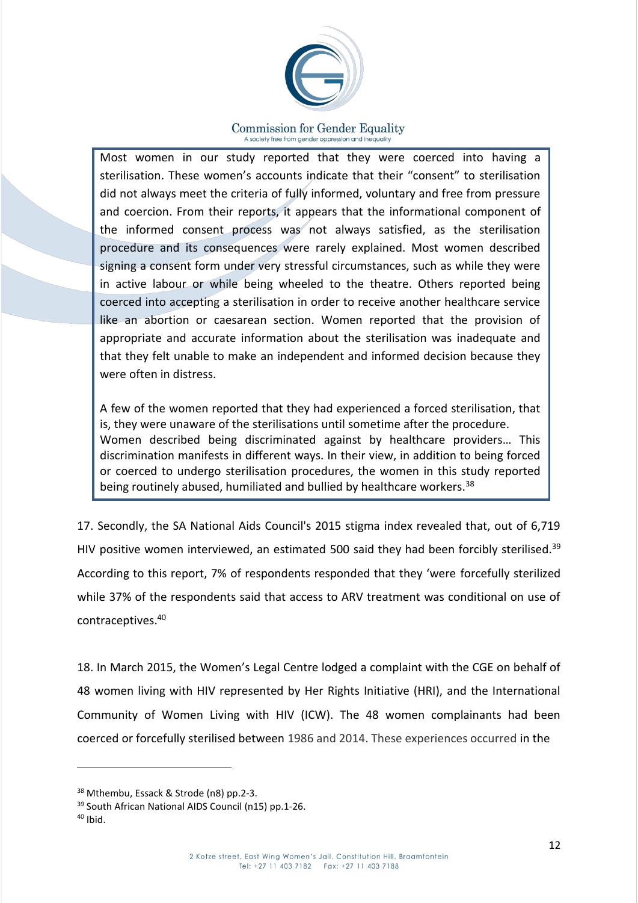

Most women in our study reported that they were coerced into having a sterilisation. These women's accounts indicate that their "consent" to sterilisation did not always meet the criteria of fully informed, voluntary and free from pressure and coercion. From their reports, it appears that the informational component of the informed consent process was not always satisfied, as the sterilisation procedure and its consequences were rarely explained. Most women described signing a consent form under very stressful circumstances, such as while they were in active labour or while being wheeled to the theatre. Others reported being coerced into accepting a sterilisation in order to receive another healthcare service like an abortion or caesarean section. Women reported that the provision of appropriate and accurate information about the sterilisation was inadequate and that they felt unable to make an independent and informed decision because they were often in distress.

A few of the women reported that they had experienced a forced sterilisation, that is, they were unaware of the sterilisations until sometime after the procedure. Women described being discriminated against by healthcare providers… This discrimination manifests in different ways. In their view, in addition to being forced or coerced to undergo sterilisation procedures, the women in this study reported being routinely abused, humiliated and bullied by healthcare workers.<sup>38</sup>

17. Secondly, the SA National Aids Council's 2015 stigma index revealed that, out of 6,719 HIV positive women interviewed, an estimated 500 said they had been forcibly sterilised.<sup>39</sup> According to this report, 7% of respondents responded that they 'were forcefully sterilized while 37% of the respondents said that access to ARV treatment was conditional on use of contraceptives. 40

18. In March 2015, the Women's Legal Centre lodged a complaint with the CGE on behalf of 48 women living with HIV represented by Her Rights Initiative (HRI), and the International Community of Women Living with HIV (ICW). The 48 women complainants had been coerced or forcefully sterilised between 1986 and 2014. These experiences occurred in the

<sup>38</sup> Mthembu, Essack & Strode (n8) pp.2-3.

<sup>39</sup> South African National AIDS Council (n15) pp.1-26.

 $40$  Ibid.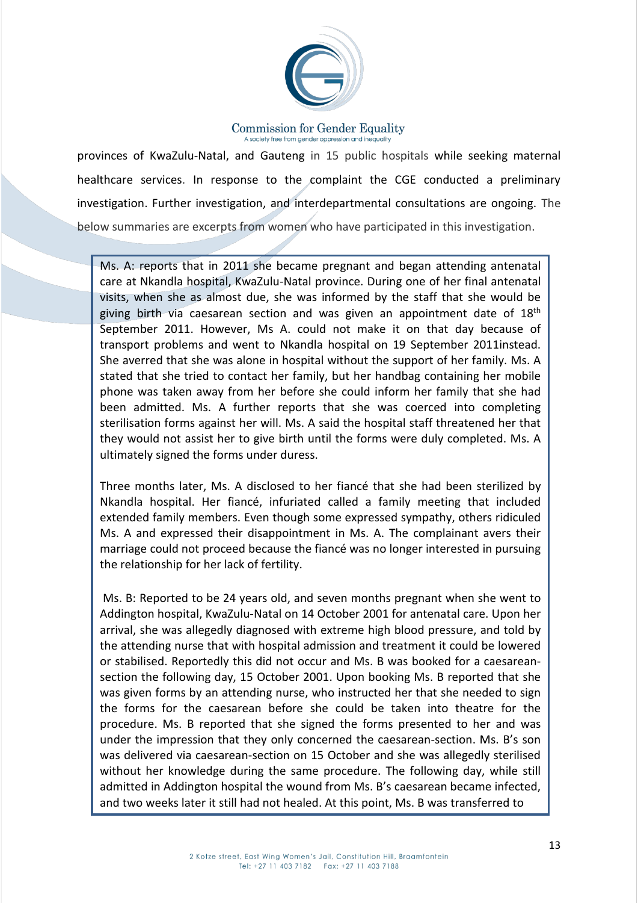

provinces of KwaZulu-Natal, and Gauteng in 15 public hospitals while seeking maternal healthcare services. In response to the complaint the CGE conducted a preliminary investigation. Further investigation, and interdepartmental consultations are ongoing. The below summaries are excerpts from women who have participated in this investigation.

Ms. A: reports that in 2011 she became pregnant and began attending antenatal care at Nkandla hospital, KwaZulu-Natal province. During one of her final antenatal visits, when she as almost due, she was informed by the staff that she would be giving birth via caesarean section and was given an appointment date of  $18<sup>th</sup>$ September 2011. However, Ms A. could not make it on that day because of transport problems and went to Nkandla hospital on 19 September 2011instead. She averred that she was alone in hospital without the support of her family. Ms. A stated that she tried to contact her family, but her handbag containing her mobile phone was taken away from her before she could inform her family that she had been admitted. Ms. A further reports that she was coerced into completing sterilisation forms against her will. Ms. A said the hospital staff threatened her that they would not assist her to give birth until the forms were duly completed. Ms. A ultimately signed the forms under duress.

Three months later, Ms. A disclosed to her fiancé that she had been sterilized by Nkandla hospital. Her fiancé, infuriated called a family meeting that included extended family members. Even though some expressed sympathy, others ridiculed Ms. A and expressed their disappointment in Ms. A. The complainant avers their marriage could not proceed because the fiancé was no longer interested in pursuing the relationship for her lack of fertility.

Ms. B: Reported to be 24 years old, and seven months pregnant when she went to Addington hospital, KwaZulu-Natal on 14 October 2001 for antenatal care. Upon her arrival, she was allegedly diagnosed with extreme high blood pressure, and told by the attending nurse that with hospital admission and treatment it could be lowered or stabilised. Reportedly this did not occur and Ms. B was booked for a caesareansection the following day, 15 October 2001. Upon booking Ms. B reported that she was given forms by an attending nurse, who instructed her that she needed to sign the forms for the caesarean before she could be taken into theatre for the procedure. Ms. B reported that she signed the forms presented to her and was under the impression that they only concerned the caesarean-section. Ms. B's son was delivered via caesarean-section on 15 October and she was allegedly sterilised without her knowledge during the same procedure. The following day, while still admitted in Addington hospital the wound from Ms. B's caesarean became infected, and two weeks later it still had not healed. At this point, Ms. B was transferred to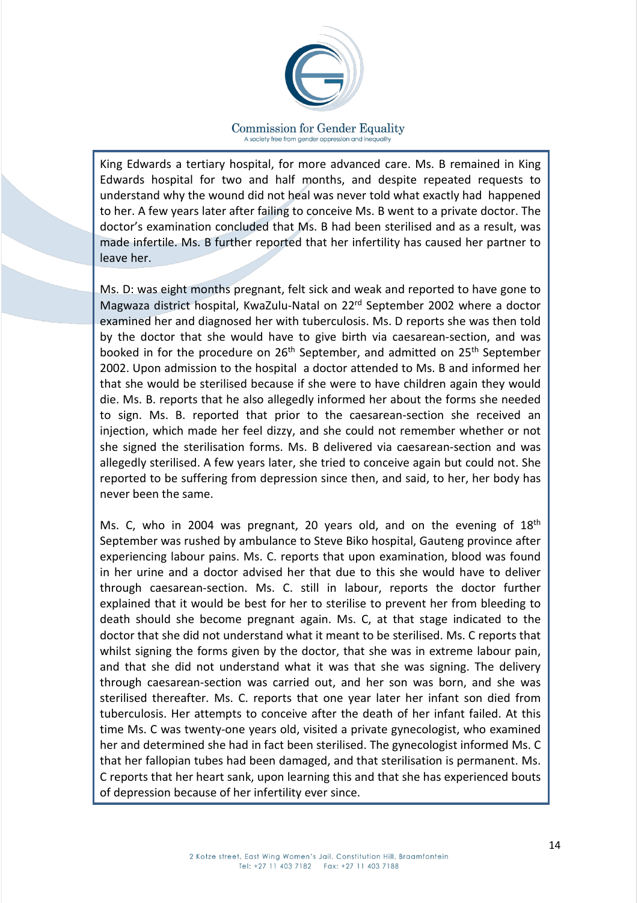

King Edwards a tertiary hospital, for more advanced care. Ms. B remained in King Edwards hospital for two and half months, and despite repeated requests to understand why the wound did not heal was never told what exactly had happened to her. A few years later after failing to conceive Ms. B went to a private doctor. The doctor's examination concluded that Ms. B had been sterilised and as a result, was made infertile. Ms. B further reported that her infertility has caused her partner to leave her.

Ms. D: was eight months pregnant, felt sick and weak and reported to have gone to Magwaza district hospital, KwaZulu-Natal on 22rd September 2002 where a doctor examined her and diagnosed her with tuberculosis. Ms. D reports she was then told by the doctor that she would have to give birth via caesarean-section, and was booked in for the procedure on 26<sup>th</sup> September, and admitted on 25<sup>th</sup> September 2002. Upon admission to the hospital a doctor attended to Ms. B and informed her that she would be sterilised because if she were to have children again they would die. Ms. B. reports that he also allegedly informed her about the forms she needed to sign. Ms. B. reported that prior to the caesarean-section she received an injection, which made her feel dizzy, and she could not remember whether or not she signed the sterilisation forms. Ms. B delivered via caesarean-section and was allegedly sterilised. A few years later, she tried to conceive again but could not. She reported to be suffering from depression since then, and said, to her, her body has never been the same.

Ms. C, who in 2004 was pregnant, 20 years old, and on the evening of  $18<sup>th</sup>$ September was rushed by ambulance to Steve Biko hospital, Gauteng province after experiencing labour pains. Ms. C. reports that upon examination, blood was found in her urine and a doctor advised her that due to this she would have to deliver through caesarean-section. Ms. C. still in labour, reports the doctor further explained that it would be best for her to sterilise to prevent her from bleeding to death should she become pregnant again. Ms. C, at that stage indicated to the doctor that she did not understand what it meant to be sterilised. Ms. C reports that whilst signing the forms given by the doctor, that she was in extreme labour pain, and that she did not understand what it was that she was signing. The delivery through caesarean-section was carried out, and her son was born, and she was sterilised thereafter. Ms. C. reports that one year later her infant son died from tuberculosis. Her attempts to conceive after the death of her infant failed. At this time Ms. C was twenty-one years old, visited a private gynecologist, who examined her and determined she had in fact been sterilised. The gynecologist informed Ms. C that her fallopian tubes had been damaged, and that sterilisation is permanent. Ms. C reports that her heart sank, upon learning this and that she has experienced bouts of depression because of her infertility ever since.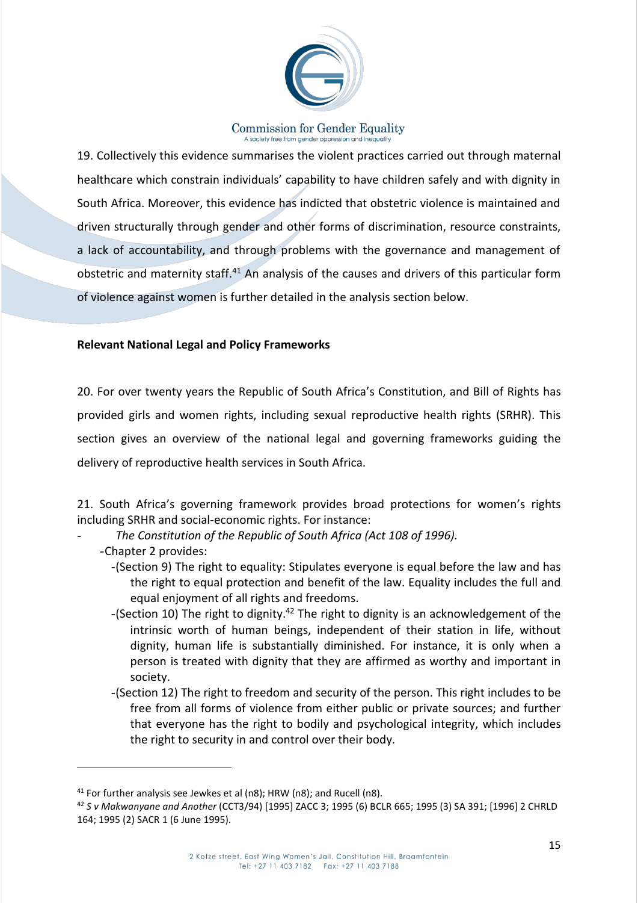

19. Collectively this evidence summarises the violent practices carried out through maternal healthcare which constrain individuals' capability to have children safely and with dignity in South Africa. Moreover, this evidence has indicted that obstetric violence is maintained and driven structurally through gender and other forms of discrimination, resource constraints, a lack of accountability, and through problems with the governance and management of obstetric and maternity staff.<sup>41</sup> An analysis of the causes and drivers of this particular form of violence against women is further detailed in the analysis section below.

## **Relevant National Legal and Policy Frameworks**

20. For over twenty years the Republic of South Africa's Constitution, and Bill of Rights has provided girls and women rights, including sexual reproductive health rights (SRHR). This section gives an overview of the national legal and governing frameworks guiding the delivery of reproductive health services in South Africa.

21. South Africa's governing framework provides broad protections for women's rights including SRHR and social-economic rights. For instance:

- *The Constitution of the Republic of South Africa (Act 108 of 1996).*
	- -Chapter 2 provides:

- -(Section 9) The right to equality: Stipulates everyone is equal before the law and has the right to equal protection and benefit of the law. Equality includes the full and equal enjoyment of all rights and freedoms.
- -(Section 10) The right to dignity.<sup>42</sup> The right to dignity is an acknowledgement of the intrinsic worth of human beings, independent of their station in life, without dignity, human life is substantially diminished. For instance, it is only when a person is treated with dignity that they are affirmed as worthy and important in society.
- -(Section 12) The right to freedom and security of the person. This right includes to be free from all forms of violence from either public or private sources; and further that everyone has the right to bodily and psychological integrity, which includes the right to security in and control over their body.

<sup>41</sup> For further analysis see Jewkes et al (n8); HRW (n8); and Rucell (n8).

<sup>42</sup> *S v Makwanyane and Another* (CCT3/94) [1995] ZACC 3; 1995 (6) BCLR 665; 1995 (3) SA 391; [1996] 2 CHRLD 164; 1995 (2) SACR 1 (6 June 1995).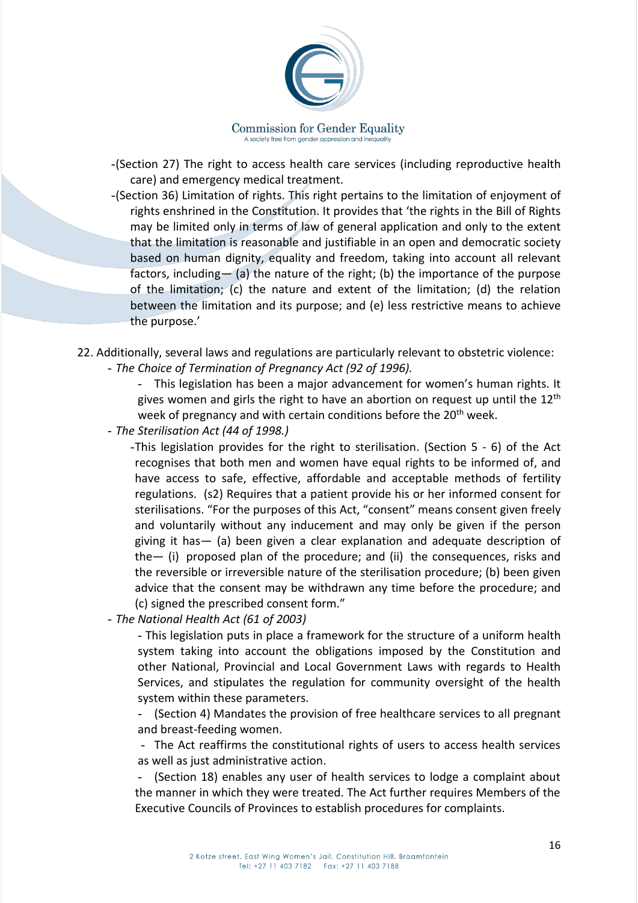

- -(Section 27) The right to access health care services (including reproductive health care) and emergency medical treatment.
- -(Section 36) Limitation of rights. This right pertains to the limitation of enjoyment of rights enshrined in the Constitution. It provides that 'the rights in the Bill of Rights may be limited only in terms of law of general application and only to the extent that the limitation is reasonable and justifiable in an open and democratic society based on human dignity, equality and freedom, taking into account all relevant factors, including— (a) the nature of the right; (b) the importance of the purpose of the limitation; (c) the nature and extent of the limitation; (d) the relation between the limitation and its purpose; and (e) less restrictive means to achieve the purpose.'
- 22. Additionally, several laws and regulations are particularly relevant to obstetric violence:
	- *The Choice of Termination of Pregnancy Act (92 of 1996).*

- This legislation has been a major advancement for women's human rights. It gives women and girls the right to have an abortion on request up until the  $12<sup>th</sup>$ week of pregnancy and with certain conditions before the 20<sup>th</sup> week.

- *The Sterilisation Act (44 of 1998.)*

-This legislation provides for the right to sterilisation. (Section 5 - 6) of the Act recognises that both men and women have equal rights to be informed of, and have access to safe, effective, affordable and acceptable methods of fertility regulations. (s2) Requires that a patient provide his or her informed consent for sterilisations. "For the purposes of this Act, "consent" means consent given freely and voluntarily without any inducement and may only be given if the person giving it has— (a) been given a clear explanation and adequate description of the— (i) proposed plan of the procedure; and (ii) the consequences, risks and the reversible or irreversible nature of the sterilisation procedure; (b) been given advice that the consent may be withdrawn any time before the procedure; and (c) signed the prescribed consent form."

- *The National Health Act (61 of 2003)*

- This legislation puts in place a framework for the structure of a uniform health system taking into account the obligations imposed by the Constitution and other National, Provincial and Local Government Laws with regards to Health Services, and stipulates the regulation for community oversight of the health system within these parameters.

- (Section 4) Mandates the provision of free healthcare services to all pregnant and breast-feeding women.

- The Act reaffirms the constitutional rights of users to access health services as well as just administrative action.

(Section 18) enables any user of health services to lodge a complaint about the manner in which they were treated. The Act further requires Members of the Executive Councils of Provinces to establish procedures for complaints.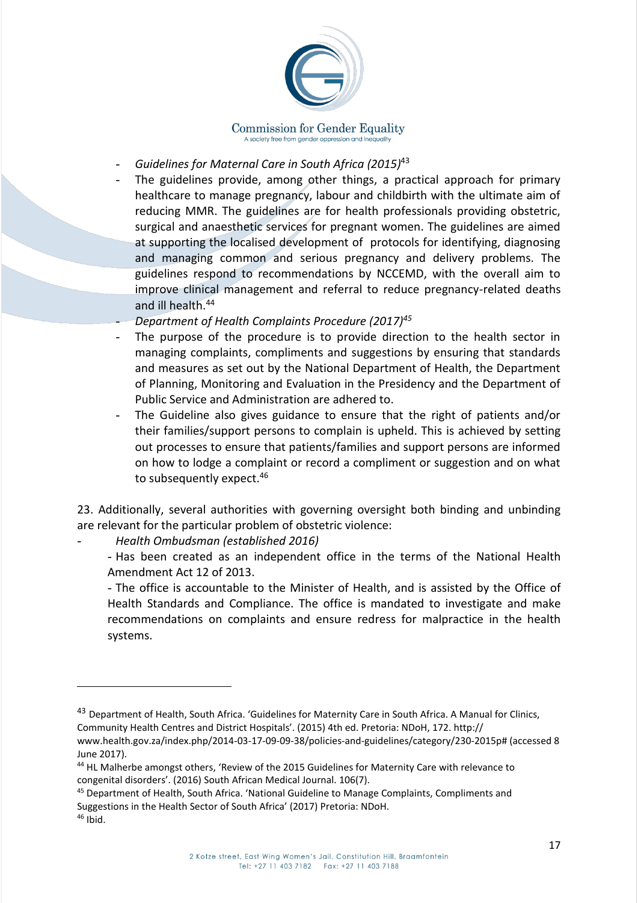

- *Guidelines for Maternal Care in South Africa (2015)*<sup>43</sup>
- The guidelines provide, among other things, a practical approach for primary healthcare to manage pregnancy, labour and childbirth with the ultimate aim of reducing MMR. The guidelines are for health professionals providing obstetric, surgical and anaesthetic services for pregnant women. The guidelines are aimed at supporting the localised development of protocols for identifying, diagnosing and managing common and serious pregnancy and delivery problems. The guidelines respond to recommendations by NCCEMD, with the overall aim to improve clinical management and referral to reduce pregnancy-related deaths and ill health.<sup>44</sup>
- *Department of Health Complaints Procedure (2017)<sup>45</sup>*
- The purpose of the procedure is to provide direction to the health sector in managing complaints, compliments and suggestions by ensuring that standards and measures as set out by the National Department of Health, the Department of Planning, Monitoring and Evaluation in the Presidency and the Department of Public Service and Administration are adhered to.
- The Guideline also gives guidance to ensure that the right of patients and/or their families/support persons to complain is upheld. This is achieved by setting out processes to ensure that patients/families and support persons are informed on how to lodge a complaint or record a compliment or suggestion and on what to subsequently expect.<sup>46</sup>

23. Additionally, several authorities with governing oversight both binding and unbinding are relevant for the particular problem of obstetric violence:

- *Health Ombudsman (established 2016)*

- Has been created as an independent office in the terms of the National Health Amendment Act 12 of 2013.

- The office is accountable to the Minister of Health, and is assisted by the Office of Health Standards and Compliance. The office is mandated to investigate and make recommendations on complaints and ensure redress for malpractice in the health systems.

<sup>&</sup>lt;sup>43</sup> Department of Health, South Africa. 'Guidelines for Maternity Care in South Africa. A Manual for Clinics, Community Health Centres and District Hospitals'. (2015) 4th ed. Pretoria: NDoH, 172. http://

www.health.gov.za/index.php/2014-03-17-09-09-38/policies-and-guidelines/category/230-2015p# (accessed 8 June 2017).

<sup>44</sup> HL Malherbe amongst others, 'Review of the 2015 Guidelines for Maternity Care with relevance to congenital disorders'. (2016) South African Medical Journal. 106(7).

<sup>45</sup> Department of Health, South Africa. 'National Guideline to Manage Complaints, Compliments and Suggestions in the Health Sector of South Africa' (2017) Pretoria: NDoH.

 $46$  Ibid.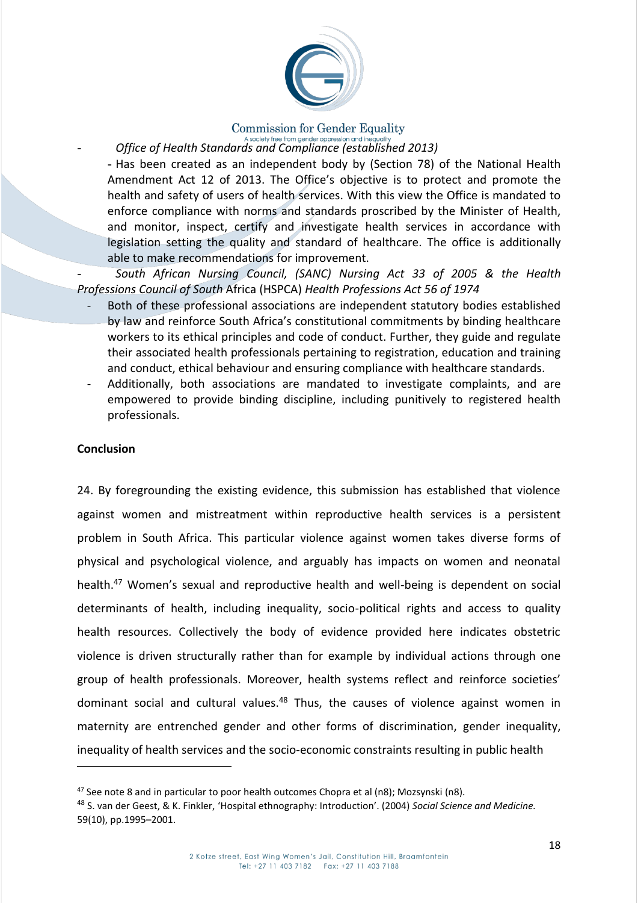

# **Commission for Gender Equality**

- *Office of Health Standards and Compliance (established 2013)*

- Has been created as an independent body by (Section 78) of the National Health Amendment Act 12 of 2013. The Office's objective is to protect and promote the health and safety of users of health services. With this view the Office is mandated to enforce compliance with norms and standards proscribed by the Minister of Health, and monitor, inspect, certify and investigate health services in accordance with legislation setting the quality and standard of healthcare. The office is additionally able to make recommendations for improvement.

- *South African Nursing Council, (SANC) Nursing Act 33 of 2005 & the Health Professions Council of South* Africa (HSPCA) *Health Professions Act 56 of 1974*

- Both of these professional associations are independent statutory bodies established by law and reinforce South Africa's constitutional commitments by binding healthcare workers to its ethical principles and code of conduct. Further, they guide and regulate their associated health professionals pertaining to registration, education and training and conduct, ethical behaviour and ensuring compliance with healthcare standards.
- Additionally, both associations are mandated to investigate complaints, and are empowered to provide binding discipline, including punitively to registered health professionals.

## **Conclusion**

 $\overline{\phantom{a}}$ 

24. By foregrounding the existing evidence, this submission has established that violence against women and mistreatment within reproductive health services is a persistent problem in South Africa. This particular violence against women takes diverse forms of physical and psychological violence, and arguably has impacts on women and neonatal health.<sup>47</sup> Women's sexual and reproductive health and well-being is dependent on social determinants of health, including inequality, socio-political rights and access to quality health resources. Collectively the body of evidence provided here indicates obstetric violence is driven structurally rather than for example by individual actions through one group of health professionals. Moreover, health systems reflect and reinforce societies' dominant social and cultural values.<sup>48</sup> Thus, the causes of violence against women in maternity are entrenched gender and other forms of discrimination, gender inequality, inequality of health services and the socio-economic constraints resulting in public health

 $47$  See note 8 and in particular to poor health outcomes Chopra et al (n8); Mozsynski (n8).

<sup>48</sup> S. van der Geest, & K. Finkler, 'Hospital ethnography: Introduction'. (2004) *Social Science and Medicine.*  59(10), pp.1995–2001.